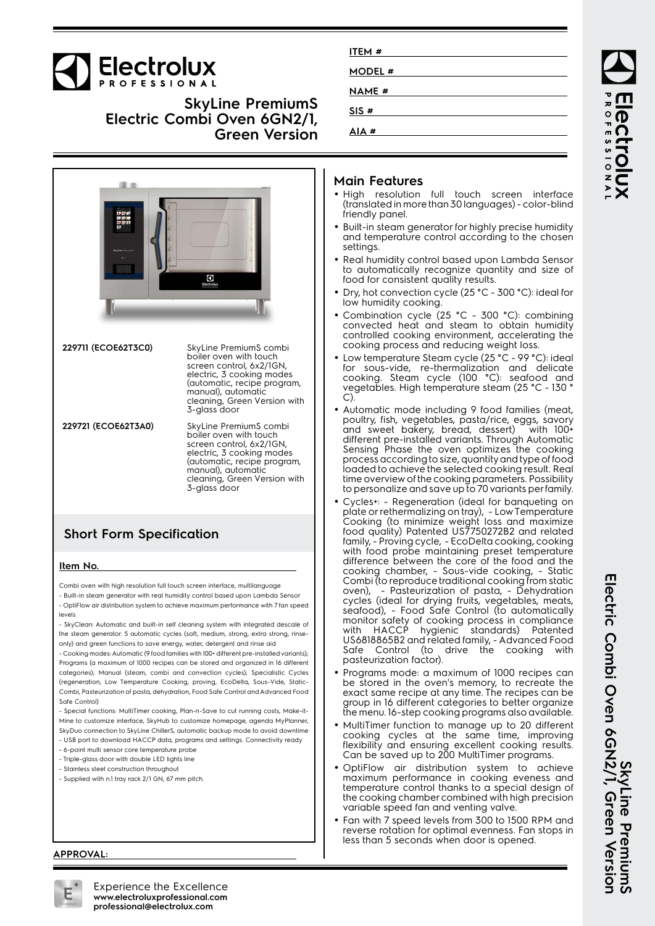

**SkyLine PremiumS Electric Combi Oven 6GN2/1, Green Version**



**229711 (ECOE62T3C0)** SkyLine PremiumS combi boiler oven with touch screen control, 6x2/1GN, electric, 3 cooking modes (automatic, recipe program, manual), automatic cleaning, Green Version with 3-glass door

**229721 (ECOE62T3A0)** SkyLine PremiumS combi boiler oven with touch screen control, 6x2/1GN, electric, 3 cooking modes (automatic, recipe program, manual), automatic cleaning, Green Version with 3-glass door

## **Short Form Specification**

#### **Item No.**

Combi oven with high resolution full touch screen interface, multilanguage - Built-in steam generator with real humidity control based upon Lambda Sensor

- OptiFlow air distribution system to achieve maximum performance with 7 fan speed levels

- SkyClean: Automatic and built-in self cleaning system with integrated descale of the steam generator. 5 automatic cycles (soft, medium, strong, extra strong, rinseonly) and green functions to save energy, water, detergent and rinse aid

- Cooking modes: Automatic (9 food families with 100+ different pre-installed variants); Programs (a maximum of 1000 recipes can be stored and organized in 16 different categories); Manual (steam, combi and convection cycles); Specialistic Cycles (regeneration, Low Temperature Cooking, proving, EcoDelta, Sous-Vide, Static-Combi, Pasteurization of pasta, dehydration, Food Safe Control and Advanced Food Safe Control)

- Special functions: MultiTimer cooking, Plan-n-Save to cut running costs, Make-it-Mine to customize interface, SkyHub to customize homepage, agenda MyPlanner, SkyDuo connection to SkyLine ChillerS, automatic backup mode to avoid downtime

- USB port to download HACCP data, programs and settings. Connectivity ready
- 6-point multi sensor core temperature probe
- Triple-glass door with double LED lights line - Stainless steel construction throughout
- Supplied with n.1 tray rack 2/1 GN, 67 mm pitch.

### **Main Features**

**ITEM # MODEL # NAME # SIS # AIA #**

- High resolution full touch screen interface (translated in more than 30 languages) - color-blind friendly panel.
- Built-in steam generator for highly precise humidity and temperature control according to the chosen settings.
- Real humidity control based upon Lambda Sensor to automatically recognize quantity and size of food for consistent quality results.
- • Dry, hot convection cycle (25 °C - 300 °C): ideal for low humidity cooking.
- •• Combination cycle (25 °C - 300 °C): combining convected heat and steam to obtain humidity controlled cooking environment, accelerating the cooking process and reducing weight loss.
- • Low temperature Steam cycle (25 °C - 99 °C): ideal for sous-vide, re-thermalization and delicate cooking. Steam cycle (100 °C): seafood and vegetables. High temperature steam (25 °C - 130 ° C).
- Automatic mode including 9 food families (meat, poultry, fish, vegetables, pasta/rice, eggs, savory and sweet bakery, bread, dessert) with 100+ different pre-installed variants. Through Automatic Sensing Phase the oven optimizes the cooking process according to size, quantity and type of food loaded to achieve the selected cooking result. Real time overview of the cooking parameters. Possibility to personalize and save up to 70 variants per family.
- • Cycles+: - Regeneration (ideal for banqueting on plate or rethermalizing on tray), - Low Temperature Cooking (to minimize weight loss and maximize food quality) Patented US7750272B2 and related family, - Proving cycle, - EcoDelta cooking, cooking with food probe maintaining preset temperature difference between the core of the food and the cooking chamber, - Sous-vide cooking, - Static Combi (to reproduce traditional cooking from static oven), - Pasteurization of pasta, - Dehydration cycles (ideal for drying fruits, vegetables, meats, seafood), - Food Safe Control (to automatically monitor safety of cooking process in compliance with HACCP hygienic standards) Patented US6818865B2 and related family, - Advanced Food Safe Control (to drive the cooking with pasteurization factor).
- • Programs mode: a maximum of 1000 recipes can be stored in the oven's memory, to recreate the exact same recipe at any time. The recipes can be group in 16 different categories to better organize the menu. 16-step cooking programs also available.
- MultiTimer function to manage up to 20 different cooking cycles at the same time, improving flexibility and ensuring excellent cooking results. Can be saved up to 200 MultiTimer programs.
- • OptiFlow air distribution system to achieve maximum performance in cooking eveness and temperature control thanks to a special design of the cooking chamber combined with high precision variable speed fan and venting valve.
- • Fan with 7 speed levels from 300 to 1500 RPM and reverse rotation for optimal evenness. Fan stops in less than 5 seconds when door is opened.

ROFESSIONA Iect

SkyLine PremiumS<br>Electric Combi Oven 6GN2/1, Green Version **Electric Combi Oven 6GN2/1, Green Version SkyLine PremiumS**

**APPROVAL:**



Experience the Excellence **www.electroluxprofessional.com professional@electrolux.com**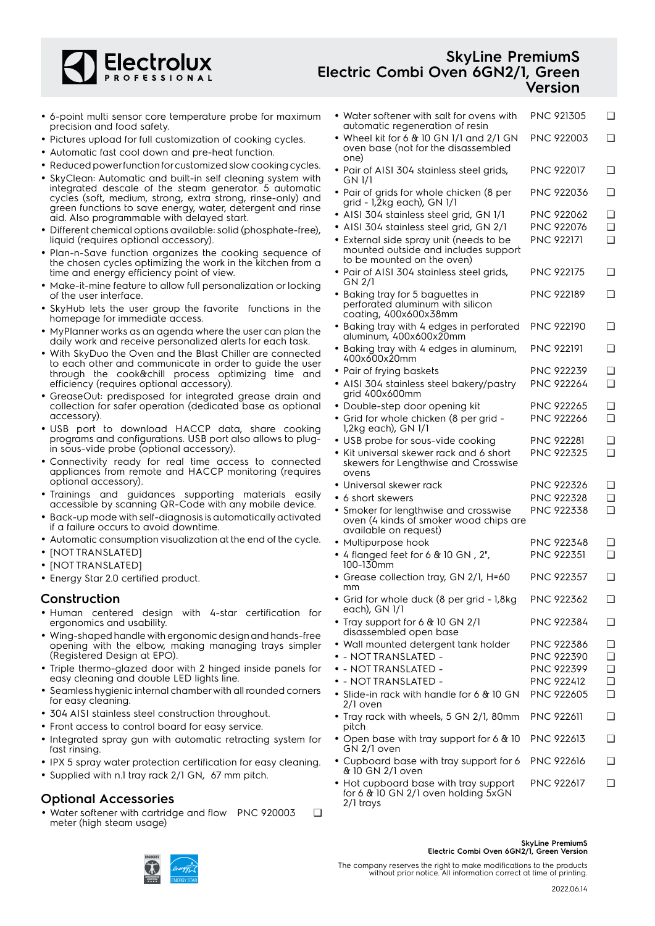

# **SkyLine PremiumS Electric Combi Oven 6GN2/1, Green Version**

- 6-point multi sensor core temperature probe for maximum precision and food safety.
- Pictures upload for full customization of cooking cycles.
- Automatic fast cool down and pre-heat function.
- Reduced power function for customized slow cooking cycles.
- SkyClean: Automatic and built-in self cleaning system with integrated descale of the steam generator. 5 automatic cycles (soft, medium, strong, extra strong, rinse-only) and green functions to save energy, water, detergent and rinse aid. Also programmable with delayed start.
- Different chemical options available: solid (phosphate-free), liquid (requires optional accessory).
- Plan-n-Save function organizes the cooking sequence of the chosen cycles optimizing the work in the kitchen from a time and energy efficiency point of view.
- Make-it-mine feature to allow full personalization or locking of the user interface.
- • SkyHub lets the user group the favorite functions in the homepage for immediate access.
- MyPlanner works as an agenda where the user can plan the daily work and receive personalized alerts for each task.
- With SkyDuo the Oven and the Blast Chiller are connected to each other and communicate in order to guide the user through the cook&chill process optimizing time and efficiency (requires optional accessory).
- GreaseOut: predisposed for integrated grease drain and collection for safer operation (dedicated base as optional accessory).
- USB port to download HACCP data, share cooking programs and configurations. USB port also allows to plugin sous-vide probe (optional accessory).
- Connectivity ready for real time access to connected appliances from remote and HACCP monitoring (requires optional accessory).
- Trainings and guidances supporting materials easily accessible by scanning QR-Code with any mobile device.
- Back-up mode with self-diagnosis is automatically activated if a failure occurs to avoid downtime.
- Automatic consumption visualization at the end of the cycle.
- [NOT TRANSLATED]
- [NOT TRANSLATED]
- Energy Star 2.0 certified product.

### **Construction**

- Human centered design with 4-star certification for ergonomics and usability.
- Wing-shaped handle with ergonomic design and hands-free opening with the elbow, making managing trays simpler (Registered Design at EPO).
- Triple thermo-glazed door with 2 hinged inside panels for easy cleaning and double LED lights line.
- • Seamless hygienic internal chamber with all rounded corners for easy cleaning.
- 304 AISI stainless steel construction throughout.
- Front access to control board for easy service.
- Integrated spray gun with automatic retracting system for fast rinsing.
- IPX 5 spray water protection certification for easy cleaning.
- Supplied with n.1 tray rack 2/1 GN, 67 mm pitch.

## **Optional Accessories**

• Water softener with cartridge and flow PNC 920003 ❑ meter (high steam usage)

| • Water softener with salt for ovens with<br>automatic regeneration of resin                                  | PNC 921305        | ◻        |
|---------------------------------------------------------------------------------------------------------------|-------------------|----------|
| • Wheel kit for 6 $&$ 10 GN 1/1 and 2/1 GN<br>oven base (not for the disassembled<br>one)                     | PNC 922003        | ◻        |
| • Pair of AISI 304 stainless steel grids,<br>GN 1/1                                                           | <b>PNC 922017</b> | ◻        |
| • Pair of grids for whole chicken (8 per<br>grid - 1,2kg each), GN 1/1                                        | PNC 922036        | ◻        |
| • AISI 304 stainless steel grid, GN 1/1                                                                       | PNC 922062        | ❏        |
| · AISI 304 stainless steel grid, GN 2/1                                                                       | PNC 922076        | ◻        |
| · External side spray unit (needs to be<br>mounted outside and includes support<br>to be mounted on the oven) | <b>PNC 922171</b> | ◻        |
| • Pair of AISI 304 stainless steel grids,<br>GN 2/1                                                           | PNC 922175        | ❏        |
| • Baking tray for 5 baguettes in<br>perforated aluminum with silicon<br>coating, 400x600x38mm                 | PNC 922189        | <b>□</b> |
| • Baking tray with 4 edges in perforated<br>aluminum, 400x600x20mm                                            | <b>PNC 922190</b> | ◻        |
| • Baking tray with 4 edges in aluminum,<br>400x600x20mm                                                       | PNC 922191        | ◻        |
| • Pair of frying baskets                                                                                      | <b>PNC 922239</b> | ❏        |
| • AISI 304 stainless steel bakery/pastry<br>grid 400x600mm                                                    | <b>PNC 922264</b> | ∩        |
| • Double-step door opening kit                                                                                | <b>PNC 922265</b> | ❏        |
| • Grid for whole chicken (8 per grid -<br>1,2kg each), GN 1/1                                                 | PNC 922266        | ∩        |
| • USB probe for sous-vide cooking                                                                             | <b>PNC 922281</b> | ◻        |
| • Kit universal skewer rack and 6 short<br>skewers for Lengthwise and Crosswise<br>ovens                      | PNC 922325        | ◻        |
| · Universal skewer rack                                                                                       | <b>PNC 922326</b> | ❏        |
| $\bullet$ 6 short skewers                                                                                     | PNC 922328        | ◘        |
| • Smoker for lengthwise and crosswise<br>oven (4 kinds of smoker wood chips are                               | PNC 922338        | ◻        |
| available on request)                                                                                         | PNC 922348        | ❏        |
| • Multipurpose hook<br>• 4 flanged feet for 6 $\&$ 10 GN, 2",                                                 | PNC 922351        | ∩        |
| 100-130mm                                                                                                     |                   |          |
| • Grease collection tray, GN 2/1, H=60<br>mm                                                                  | <b>PNC 922357</b> | ◻        |
| Grid for whole duck (8 per grid - 1,8kg<br>each), GN 1/1                                                      | PNC 922362        | ❏        |
| • Tray support for 6 & 10 GN 2/1<br>disassembled open base                                                    | PNC 922384        | ⊔        |
| · Wall mounted detergent tank holder                                                                          | PNC 922386        | ⊐        |
| - NOT TRANSLATED -                                                                                            | PNC 922390        | O        |
| - NOTTRANSLATED -                                                                                             | PNC 922399        | ❏        |
| - NOTTRANSLATED -                                                                                             | <b>PNC 922412</b> | ❏        |
| · Slide-in rack with handle for 6 & 10 GN<br>2/1 oven                                                         | <b>PNC 922605</b> | ❏        |
| • Tray rack with wheels, 5 GN 2/1, 80mm<br>pitch                                                              | <b>PNC 922611</b> | ❏        |
| • Open base with tray support for 6 & 10<br>GN 2/1 oven                                                       | PNC 922613        | ❏        |
| • Cupboard base with tray support for 6<br>& 10 GN 2/1 oven                                                   | <b>PNC 922616</b> | ◻        |

• Hot cupboard base with tray support for 6 & 10 GN 2/1 oven holding 5xGN 2/1 trays PNC 922617 ❑



**SkyLine PremiumS Electric Combi Oven 6GN2/1, Green Version**

The company reserves the right to make modifications to the products without prior notice. All information correct at time of printing.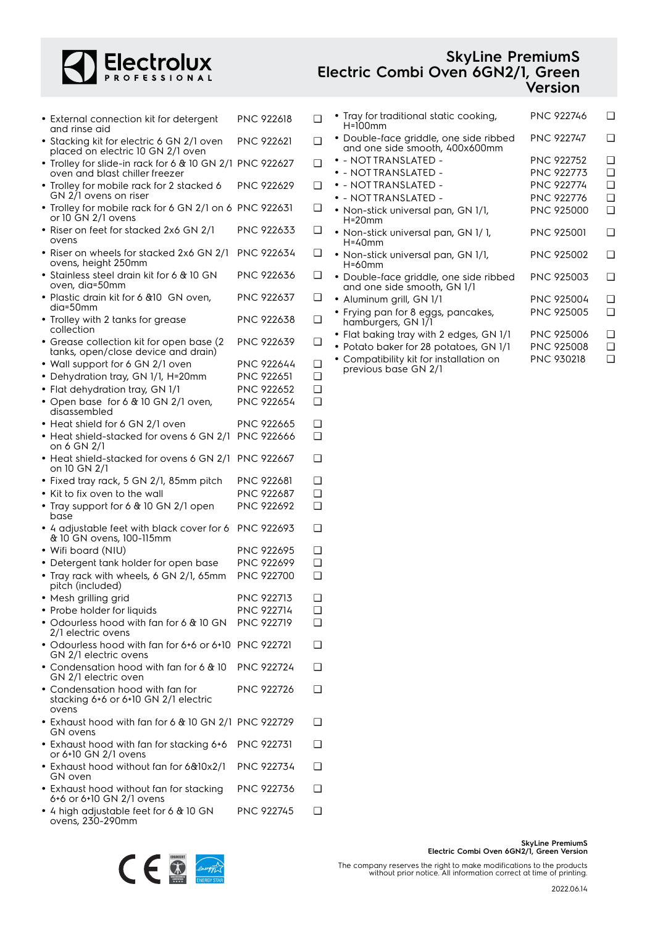

# **SkyLine PremiumS Electric Combi Oven 6GN2/1, Green Version**

| • External connection kit for detergent<br>and rinse aid                                   | PNC 922618        | ❏        |  |
|--------------------------------------------------------------------------------------------|-------------------|----------|--|
| • Stacking kit for electric 6 GN 2/1 oven<br>placed on electric 10 GN 2/1 oven             | PNC 922621        | ∩        |  |
| • Trolley for slide-in rack for 6 & 10 GN 2/1 PNC 922627<br>oven and blast chiller freezer |                   | ❏        |  |
| • Trolley for mobile rack for 2 stacked 6<br>GN 2/1 ovens on riser                         | <b>PNC 922629</b> | ❏        |  |
| • Trolley for mobile rack for 6 GN 2/1 on 6 PNC 922631<br>or 10 GN 2/1 ovens               |                   | ❏        |  |
| • Riser on feet for stacked 2x6 GN 2/1                                                     | PNC 922633        | ❏        |  |
| ovens<br>· Riser on wheels for stacked 2x6 GN 2/1                                          | <b>PNC 922634</b> | ❏        |  |
| ovens, height 250mm<br>• Stainless steel drain kit for 6 & 10 GN                           | PNC 922636        | ❏        |  |
| oven, dia=50mm<br>• Plastic drain kit for 6 & 10 GN oven,                                  | PNC 922637        | ❏        |  |
| dia=50mm<br>• Trolley with 2 tanks for grease                                              | PNC 922638        | ◻        |  |
| collection<br>• Grease collection kit for open base (2)                                    | PNC 922639        | ❏        |  |
| tanks, open/close device and drain)<br>• Wall support for 6 GN 2/1 oven                    | PNC 922644        | ❏        |  |
| • Dehydration tray, GN 1/1, H=20mm                                                         | PNC 922651        | ❏        |  |
| • Flat dehydration tray, GN 1/1                                                            | <b>PNC 922652</b> | ❏        |  |
| • Open base for 6 & 10 GN 2/1 oven,                                                        | <b>PNC 922654</b> | ❏        |  |
| disassembled<br>• Heat shield for 6 GN 2/1 oven                                            | PNC 922665        | ❏        |  |
|                                                                                            | <b>PNC 922666</b> | ❏        |  |
| • Heat shield-stacked for ovens 6 GN 2/1<br>on 6 GN 2/1                                    |                   |          |  |
| • Heat shield-stacked for ovens 6 GN 2/1<br>on 10 GN 2/1                                   | PNC 922667        | ❏        |  |
| • Fixed tray rack, 5 GN 2/1, 85mm pitch                                                    | PNC 922681        | ❏        |  |
| • Kit to fix oven to the wall                                                              | <b>PNC 922687</b> | <b>□</b> |  |
| • Tray support for 6 & 10 GN 2/1 open<br>base                                              | PNC 922692        | ❏        |  |
| • 4 adjustable feet with black cover for 6<br>& 10 GN ovens, 100-115mm                     | <b>PNC 922693</b> | ❏        |  |
| • Wifi board (NIU)                                                                         | PNC 922695        | ❏        |  |
| • Detergent tank holder for open base                                                      | <b>PNC 922699</b> | <b>□</b> |  |
| • Tray rack with wheels, 6 GN 2/1, 65mm<br>pitch (included)                                | PNC 922700        | ❏        |  |
| Mesh grilling grid                                                                         | PNC 922713        | ❏        |  |
| • Probe holder for liquids                                                                 | <b>PNC 922714</b> | ❏        |  |
| • Odourless hood with fan for 6 & 10 GN                                                    | <b>PNC 922719</b> |          |  |
| 2/1 electric ovens                                                                         |                   |          |  |
| • Odourless hood with fan for 6+6 or 6+10 PNC 922721<br>GN 2/1 electric ovens              |                   |          |  |
| • Condensation hood with fan for 6 & 10<br>GN 2/1 electric oven                            | <b>PNC 922724</b> | ∩        |  |
| • Condensation hood with fan for<br>stacking 6+6 or 6+10 GN 2/1 electric<br>ovens          | PNC 922726        | □        |  |
| • Exhaust hood with fan for 6 & 10 GN 2/1 PNC 922729<br>GN ovens                           |                   | ❏        |  |
| • Exhaust hood with fan for stacking 6+6<br>or 6+10 GN 2/1 ovens                           | <b>PNC 922731</b> | ❏        |  |
| • Exhaust hood without fan for 6&10x2/1<br>GN oven                                         | PNC 922734        | ∩        |  |
| • Exhaust hood without fan for stacking<br>6+6 or 6+10 GN 2/1 ovens                        | PNC 922736        | ❏        |  |

• 4 high adjustable feet for 6 & 10 GN ovens, 230-290mm PNC 922745 ❑

| <b>PNC 922746</b> | - 1 |
|-------------------|-----|
| PNC 922747        | □   |
| <b>PNC 922752</b> | n   |
| <b>PNC 922773</b> | ∩   |
| <b>PNC 922774</b> | ∩   |
| <b>PNC 922776</b> | ∩   |
| PNC 925000        | ∩   |
| <b>PNC 925001</b> | □   |
| <b>PNC 925002</b> | n   |
| <b>PNC 925003</b> | n   |
| PNC 925004        | n   |
| <b>PNC 925005</b> | n   |
| <b>PNC 925006</b> | n   |
| <b>PNC 925008</b> | n   |
| PNC 930218        | □   |
|                   |     |

previous base GN 2/1